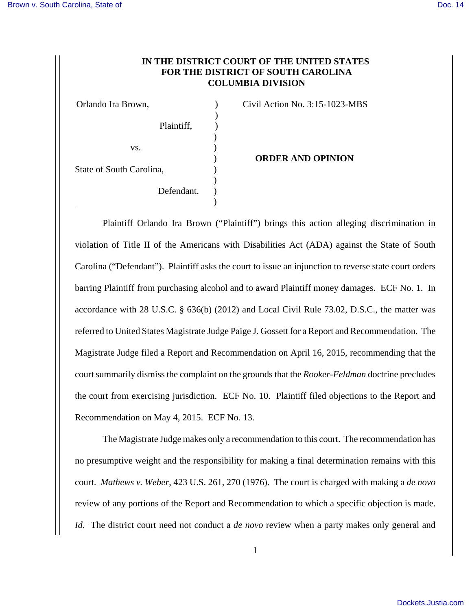## **IN THE DISTRICT COURT OF THE UNITED STATES FOR THE DISTRICT OF SOUTH CAROLINA COLUMBIA DIVISION**

 $\lambda$ 

Orlando Ira Brown, ) Civil Action No. 3:15-1023-MBS

|                          | Plaintiff, |  |
|--------------------------|------------|--|
|                          |            |  |
| VS.                      |            |  |
|                          |            |  |
| State of South Carolina, |            |  |
|                          |            |  |
|                          | Defendant. |  |
|                          |            |  |

 $P_1$   $P_2$ 

## ) **ORDER AND OPINION**

Plaintiff Orlando Ira Brown ("Plaintiff") brings this action alleging discrimination in violation of Title II of the Americans with Disabilities Act (ADA) against the State of South Carolina ("Defendant"). Plaintiff asks the court to issue an injunction to reverse state court orders barring Plaintiff from purchasing alcohol and to award Plaintiff money damages. ECF No. 1. In accordance with 28 U.S.C. § 636(b) (2012) and Local Civil Rule 73.02, D.S.C., the matter was referred to United States Magistrate Judge Paige J. Gossett for a Report and Recommendation. The Magistrate Judge filed a Report and Recommendation on April 16, 2015, recommending that the court summarily dismiss the complaint on the grounds that the *Rooker-Feldman* doctrine precludes the court from exercising jurisdiction. ECF No. 10. Plaintiff filed objections to the Report and Recommendation on May 4, 2015. ECF No. 13.

The Magistrate Judge makes only a recommendation to this court. The recommendation has no presumptive weight and the responsibility for making a final determination remains with this court. *Mathews v. Weber*, 423 U.S. 261, 270 (1976). The court is charged with making a *de novo* review of any portions of the Report and Recommendation to which a specific objection is made. *Id.* The district court need not conduct a *de novo* review when a party makes only general and